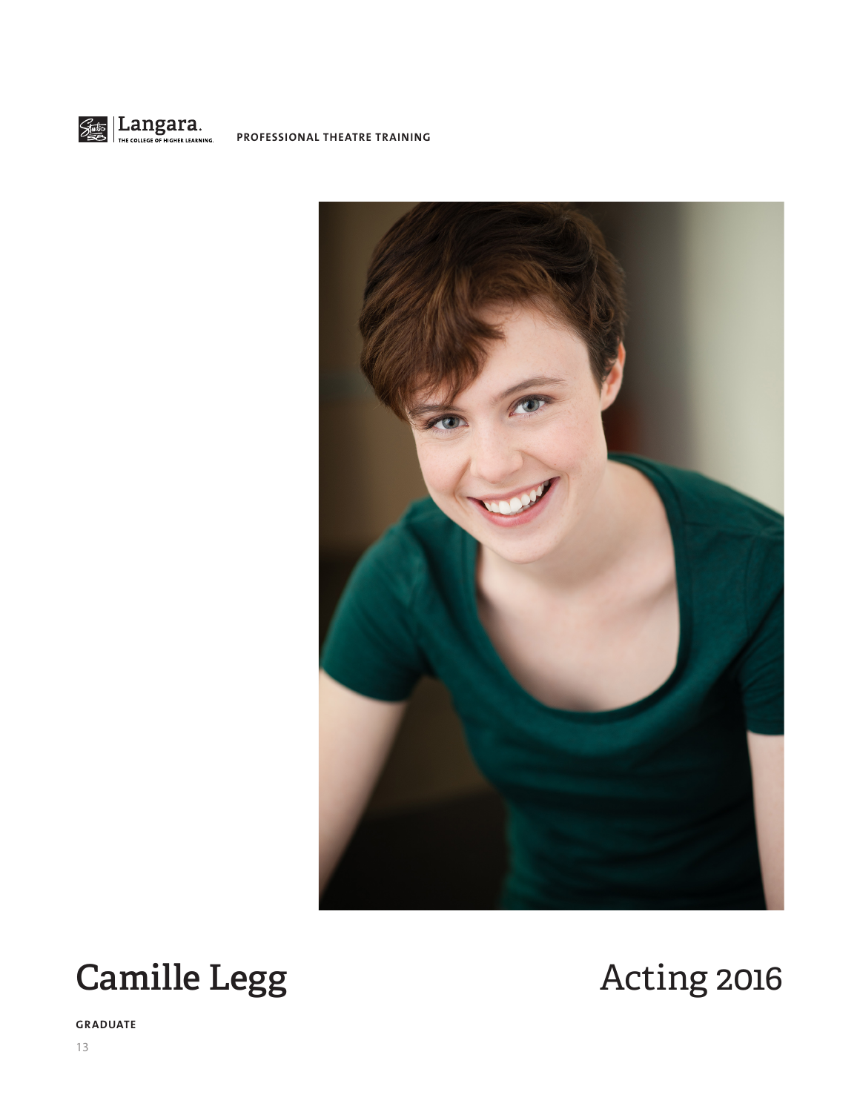

**PROFESSIONAL THEATRE TRAINING**



# Camille Legg Acting 2016

**GRADUATE**